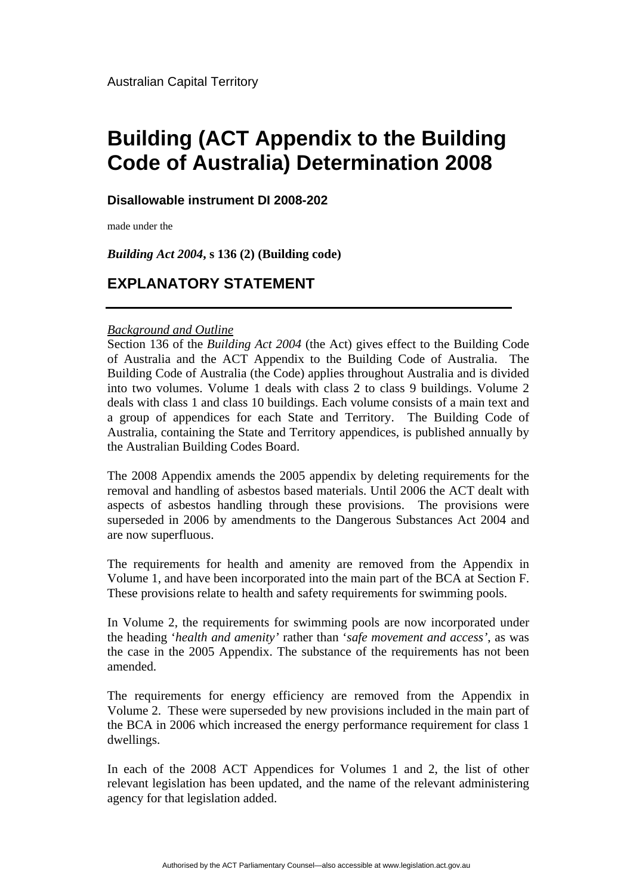## **Building (ACT Appendix to the Building Code of Australia) Determination 2008**

## **Disallowable instrument DI 2008-202**

made under the

*Building Act 2004***, s 136 (2) (Building code)** 

## **EXPLANATORY STATEMENT**

## *Background and Outline*

Section 136 of the *Building Act 2004* (the Act) gives effect to the Building Code of Australia and the ACT Appendix to the Building Code of Australia. The Building Code of Australia (the Code) applies throughout Australia and is divided into two volumes. Volume 1 deals with class 2 to class 9 buildings. Volume 2 deals with class 1 and class 10 buildings. Each volume consists of a main text and a group of appendices for each State and Territory. The Building Code of Australia, containing the State and Territory appendices, is published annually by the Australian Building Codes Board.

The 2008 Appendix amends the 2005 appendix by deleting requirements for the removal and handling of asbestos based materials. Until 2006 the ACT dealt with aspects of asbestos handling through these provisions. The provisions were superseded in 2006 by amendments to the Dangerous Substances Act 2004 and are now superfluous.

The requirements for health and amenity are removed from the Appendix in Volume 1, and have been incorporated into the main part of the BCA at Section F. These provisions relate to health and safety requirements for swimming pools.

In Volume 2, the requirements for swimming pools are now incorporated under the heading '*health and amenity'* rather than '*safe movement and access'*, as was the case in the 2005 Appendix. The substance of the requirements has not been amended.

The requirements for energy efficiency are removed from the Appendix in Volume 2. These were superseded by new provisions included in the main part of the BCA in 2006 which increased the energy performance requirement for class 1 dwellings.

In each of the 2008 ACT Appendices for Volumes 1 and 2, the list of other relevant legislation has been updated, and the name of the relevant administering agency for that legislation added.